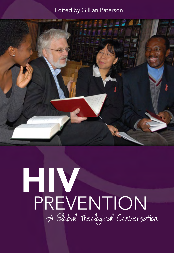## Edited by Gillian Paterson



# HIV PREVENTION A Global Theological Conversation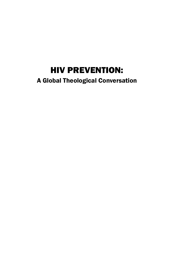## HIV PREVENTION:

## A Global Theological Conversation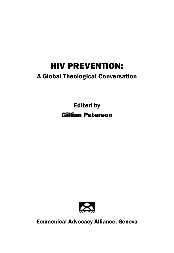# HIV PREVENTION:

## A Global Theological Conversation

Edited by Gillian Paterson



Ecumenical Advocacy Alliance, Geneva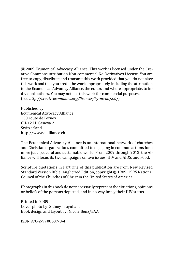ce 2009 Ecumenical Advocacy Alliance. This work is licensed under the Creative Commons Attribution Non-commercial No Derivatives License. You are free to copy, distribute and transmit this work provided that you do not alter this work and that you credit the work appropriately, including the attribution to the Ecumenical Advocacy Alliance, the editor, and where appropriate, to individual authors. You may not use this work for commercial purposes. (see *http://creativecommons.org/licenses/by-nc-nd/3.0/*)

Published by Ecumenical Advocacy Alliance 150 route de Ferney CH-1211, Geneva 2 Switzerland http://www.e-alliance.ch

The Ecumenical Advocacy Alliance is an international network of churches and Christian organizations committed to engaging in common actions for a more just, peaceful and sustainable world. From 2009 through 2012, the Alliance will focus its two campaigns on two issues: HIV and AIDS, and Food.

Scripture quotations in Part One of this publication are from New Revised Standard Version Bible: Anglicized Edition, copyright © 1989, 1995 National Council of the Churches of Christ in the United States of America.

Photographs in this book do not necessarily represent the situations, opinions or beliefs of the persons depicted, and in no way imply their HIV status.

Printed in 2009 Cover photo by: Sidney Traynham Book design and layout by: Nicole Benz/EAA

ISBN 978-2-9700637-0-4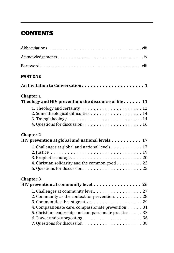## **CONTENTS**

| <b>PART ONE</b>                                                                                                                                                                                        |  |
|--------------------------------------------------------------------------------------------------------------------------------------------------------------------------------------------------------|--|
|                                                                                                                                                                                                        |  |
| <b>Chapter 1</b><br>Theology and HIV prevention: the discourse of life $\dots \dots 11$                                                                                                                |  |
|                                                                                                                                                                                                        |  |
| <b>Chapter 2</b><br>HIV prevention at global and national levels 17                                                                                                                                    |  |
| 1. Challenges at global and national levels 17<br>4. Christian solidarity and the common good 22                                                                                                       |  |
| <b>Chapter 3</b><br>HIV prevention at community level 26                                                                                                                                               |  |
| 1. Challenges at community level. 27<br>2. Community as the context for prevention. 28<br>4. Compassionate care, compassionate prevention 31<br>5. Christian leadership and compassionate practice. 33 |  |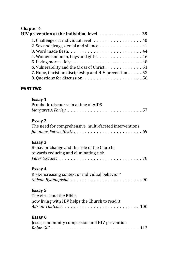#### **Chapter 4**  HIV prevention at the individual level . . . . . . . . . . . . . . 39 1. Challenges at individual level  $\dots \dots \dots \dots \dots \dots 40$ 2. Sex and drugs, denial and silence  $\dots \dots \dots \dots \dots 41$ 3. Word made flesh . . . . . . . . . . . . . . . . . . . . . . . . . . 44 4. Women and men, boys and girls  $\dots \dots \dots \dots \dots \dots 46$ 5. Living more safely  $\dots \dots \dots \dots \dots \dots \dots \dots 48$ 6. Vulnerability and the Cross of Christ  $\dots \dots \dots \dots 51$ 7. Hope, Christian discipleship and HIV prevention  $\ldots$  53 8. Questions for discussion . . . . . . . . . . . . . . . . . . . . . 56

#### PART TWO

| <b>Essay 1</b><br>Prophetic discourse in a time of AIDS                                                |
|--------------------------------------------------------------------------------------------------------|
| <b>Essay 2</b><br>The need for comprehensive, multi-faceted interventions                              |
| <b>Essay 3</b><br>Behavior change and the role of the Church:<br>towards reducing and eliminating risk |
| Essay 4<br>Risk-increasing context or individual behavior?                                             |
| <b>Essay 5</b><br>The virus and the Bible:<br>how living with HIV helps the Church to read it          |
| Essay 6<br>Jesus, community compassion and HIV prevention                                              |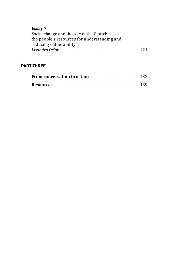| г.<br>×<br>٧ |  |
|--------------|--|
|--------------|--|

| Social change and the role of the Church:    |  |
|----------------------------------------------|--|
| the people's resources for understanding and |  |
| reducing vulnerability                       |  |
|                                              |  |
|                                              |  |

#### PART THREE

| From conversation to action 133 |  |  |  |
|---------------------------------|--|--|--|
|                                 |  |  |  |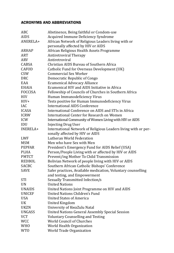#### ACRONYMS AND ABBREVIATIONS

| ABC            | Abstinence, Being faithful or Condom-use                       |
|----------------|----------------------------------------------------------------|
| <b>AIDS</b>    | Acquired Immune Deficiency Syndrome                            |
| ANERELA+       | African Network of Religious Leaders living with or            |
|                | personally affected by HIV or AIDS                             |
| <b>ARHAP</b>   | African Religious Health Assets Programme                      |
| <b>ART</b>     | <b>Antiretroviral Therapy</b>                                  |
| ARV            | Antiretroviral                                                 |
| CABSA          | Christian AIDS Bureau of Southern Africa                       |
| <b>CAFOD</b>   | Catholic Fund for Overseas Development (UK)                    |
| <b>CSW</b>     | Commercial Sex Worker                                          |
| <b>DRC</b>     | Democratic Republic of Congo                                   |
| EAA            | <b>Ecumenical Advocacy Alliance</b>                            |
| <b>EHAIA</b>   | Ecumenical HIV and AIDS Initiative in Africa                   |
| <b>FOCCISA</b> | Fellowship of Councils of Churches in Southern Africa          |
| <b>HIV</b>     | Human Immunodeficiency Virus                                   |
| $HIV+$         | Tests positive for Human Immunodeficiency Virus                |
| IAC            | <b>International AIDS Conference</b>                           |
| <b>ICASA</b>   | International Conference on AIDS and STIs in Africa            |
| <b>ICRW</b>    | International Center for Research on Women                     |
| ICW            | International Community of Women Living with HIV or AIDS       |
| IDU            | <b>Injecting Drug User</b>                                     |
| INERELA+       | International Network of Religious Leaders living with or per- |
|                | sonally affected by HIV or AIDS                                |
| LWF            | Lutheran World Federation                                      |
| <b>MSM</b>     | Men who have Sex with Men                                      |
| <b>PEPFAR</b>  | President's Emergency Fund for AIDS Relief (USA)               |
| <b>PLHA</b>    | Person/People Living with or affected by HIV or AIDS           |
| <b>PMTCT</b>   | Prevent/ing Mother To Child Transmission                       |
| REDBOL         | Bolivian Network of people living with HIV or AIDS             |
| <b>SACBC</b>   | Southern African Catholic Bishops' Conference                  |
| <b>SAVE</b>    | Safer practices, Available medication, Voluntary counselling   |
|                | and testing, and Empowerment                                   |
| <b>STI</b>     | Sexually Transmitted Infection/s                               |
| <b>UN</b>      | <b>United Nations</b>                                          |
| <b>UNAIDS</b>  | United Nations Joint Programme on HIV and AIDS                 |
| <b>UNICEF</b>  | United Nations Children's Fund                                 |
| <b>USA</b>     | <b>United States of America</b>                                |
| UK             | <b>United Kingdom</b>                                          |
| <b>UKZN</b>    | University of KwaZulu Natal                                    |
| <b>UNGASS</b>  | <b>United Nations General Assembly Special Session</b>         |
| <b>VCT</b>     | <b>Voluntary Counselling and Testing</b>                       |
| <b>WCC</b>     | World Council of Churches                                      |
| <b>WHO</b>     | World Health Organization                                      |
| <b>WTO</b>     | World Trade Organization                                       |
|                |                                                                |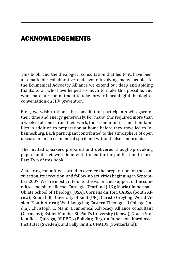## ACKNOWLEDGEMENTS

This book, and the theological consultation that led to it, have been a remarkable collaborative endeavour involving many people. At the Ecumenical Advocacy Alliance we extend our deep and abiding thanks to all who have helped so much to make this possible, and who share our commitment to take forward meaningful theological conversation on HIV prevention.

First, we wish to thank the consultation participants who gave of their time and energy generously. For many, this required more than a week of absence from their work, their communities and their families in addition to preparation at home before they travelled to Johannesburg. Each participant contributed to the atmosphere of open discussion in an ecumenical spirit and without false compromises.

The invited speakers prepared and delivered thought-provoking papers and reviewed them with the editor for publication to form Part Two of this book.

A steering committee started to oversee the preparation for the consultation, its execution, and follow-up activities beginning in September 2007. We are most grateful to the vision and support of the committee members: Rachel Carnegie, Tearfund (UK); Maria Cimperman, Oblate School of Theology (USA); Cornelis du Toit, CABSA (South Africa); Robin Gill, University of Kent (UK); Christo Greyling, World Vision (South Africa); Wati Longchar, Eastern Theological College (India); Christoph E. Mann, Ecumenical Advocacy Alliance consultant (Germany); Esther Mombo, St. Paul's University (Kenya); Gracia Violeta Ross Quiroga, REDBOL (Bolivia); Birgitta Rubenson, Karolinska Institutet (Sweden); and Sally Smith, UNAIDS (Switzerland).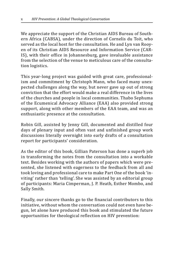We appreciate the support of the Christian AIDS Bureau of Southern Africa (CABSA), under the direction of Cornelis du Toit, who served as the local host for the consultation. He and Lyn van Rooyen of its Christian AIDS Resource and Information Service (CAR-IS), with their office in Johannesburg, gave invaluable assistance from the selection of the venue to meticulous care of the consultation logistics.

This year-long project was guided with great care, professionalism and commitment by Christoph Mann, who faced many unexpected challenges along the way, but never gave up out of strong conviction that the effort would make a real difference in the lives of the churches and people in local communities. Thabo Sephuma of the Ecumenical Advocacy Alliance (EAA) also provided strong support, along with other members of the EAA team, and was an enthusiastic presence at the consultation.

Robin Gill, assisted by Jenny Gill, documented and distilled four days of plenary input and often vast and unfinished group work discussions literally overnight into early drafts of a consultation report for participants' consideration.

As the editor of this book, Gillian Paterson has done a superb job in transforming the notes from the consultation into a workable text. Besides working with the authors of papers which were presented, she listened with eagerness to the feedback from all and took loving and professional care to make Part One of the book 'inviting' rather than 'telling'. She was assisted by an editorial group of participants: Maria Cimperman, J. P. Heath, Esther Mombo, and Sally Smith.

Finally, our sincere thanks go to the financial contributors to this initiative, without whom the conversation could not even have begun, let alone have produced this book and stimulated the future opportunities for theological reflection on HIV prevention: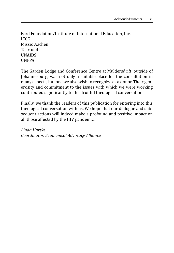Ford Foundation/Institute of International Education, Inc. ICCO Missio Aachen Tearfund UNAIDS UNFPA

The Garden Lodge and Conference Centre at Muldersdrift, outside of Johannesburg, was not only a suitable place for the consultation in many aspects, but one we also wish to recognize as a donor. Their generosity and commitment to the issues with which we were working contributed significantly to this fruitful theological conversation.

Finally, we thank the readers of this publication for entering into this theological conversation with us. We hope that our dialogue and subsequent actions will indeed make a profound and positive impact on all those affected by the HIV pandemic.

*Linda Hartke Coordinator, Ecumenical Advocacy Alliance*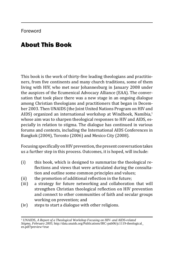## About This Book

This book is the work of thirty-five leading theologians and practitioners, from five continents and many church traditions, some of them living with HIV, who met near Johannesburg in January 2008 under the auspices of the Ecumenical Advocacy Alliance (EAA). The conversation that took place there was a new stage in an ongoing dialogue among Christian theologians and practitioners that began in December 2003. Then UNAIDS (the Joint United Nations Program on HIV and AIDS) organized an international workshop at Windhoek, Namibia,<sup>1</sup> whose aim was to sharpen theological responses to HIV and AIDS, especially in relation to stigma. The dialogue has continued in various forums and contexts, including the International AIDS Conferences in Bangkok (2004), Toronto (2006) and Mexico City (2008).

Focusing specifically on HIV prevention, the present conversation takes us a further step in this process. Outcomes, it is hoped, will include:

- (i) this book, which is designed to summarize the theological reflections and views that were articulated during the consultation and outline some common principles and values;
- (ii) the promotion of additional reflection in the future;
- (iii) a strategy for future networking and collaboration that will strengthen Christian theological reflection on HIV prevention and connect to other communities of faith and secular groups working on prevention; and
- (iv) steps to start a dialogue with other religions.

<sup>&</sup>lt;sup>1</sup> UNAIDS, A Report of a Theological Workshop Focusing on HIV- and AIDS-related *Stigma, February 2005*; http://data.unaids.org/Publications/IRC-pub06/jc1119-theological\_ en.pdf?preview=true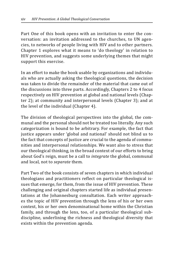Part One of this book opens with an invitation to enter the conversation: an invitation addressed to the churches, to UN agencies, to networks of people living with HIV and to other partners. Chapter 1 explores what it means to 'do theology' in relation to HIV prevention, and suggests some underlying themes that might support this exercise.

In an effort to make the book usable by organizations and individuals who are actually asking the theological questions, the decision was taken to divide the remainder of the material that came out of the discussions into three parts. Accordingly, Chapters 2 to 4 focus respectively on HIV prevention at global and national levels (Chapter 2); at community and interpersonal levels (Chapter 3); and at the level of the individual (Chapter 4).

The division of theological perspectives into the global, the communal and the personal should not be treated too literally. Any such categorization is bound to be arbitrary. For example, the fact that justice appears under 'global and national' should not blind us to the fact that concepts of justice are crucial to the agenda of communities and interpersonal relationships. We want also to stress that our theological thinking, in the broad context of our efforts to bring about God's reign, must be a call to *integrate* the global, communal and local, not to *separate* them.

Part Two of the book consists of seven chapters in which individual theologians and practitioners reflect on particular theological issues that emerge, for them, from the issue of HIV prevention. These challenging and original chapters started life as individual presentations at the Johannesburg consultation. Each writer approaches the topic of HIV prevention through the lens of his or her own context, his or her own denominational home within the Christian family, and through the lens, too, of a particular theological subdiscipline, underlining the richness and theological diversity that exists within the prevention agenda.